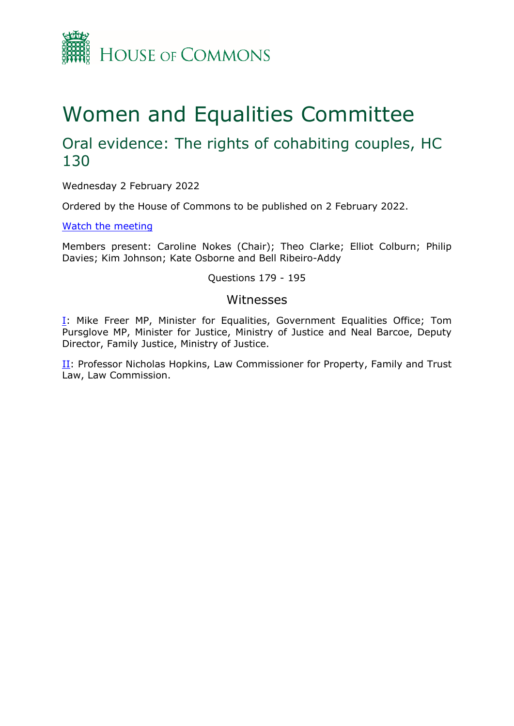

## Women and Equalities Committee

## Oral evidence: The rights of cohabiting couples, HC 130

Wednesday 2 February 2022

Ordered by the House of Commons to be published on 2 February 2022.

[Watch](https://parliamentlive.tv/Event/Index/55aac138-c255-4d74-a2da-caa4ccc7ca6a) [the](https://parliamentlive.tv/Event/Index/55aac138-c255-4d74-a2da-caa4ccc7ca6a) [meeting](https://parliamentlive.tv/Event/Index/55aac138-c255-4d74-a2da-caa4ccc7ca6a)

Members present: Caroline Nokes (Chair); Theo Clarke; Elliot Colburn; Philip Davies; Kim Johnson; Kate Osborne and Bell Ribeiro-Addy

Questions 179 - 195

## Witnesses

I: Mike Freer MP, Minister for Equalities, Government Equalities Office; Tom Pursglove MP, Minister for Justice, Ministry of Justice and Neal Barcoe, Deputy Director, Family Justice, Ministry of Justice.

[II](#page-1-0): Professor Nicholas Hopkins, Law Commissioner for Property, Family and Trust Law, Law Commission.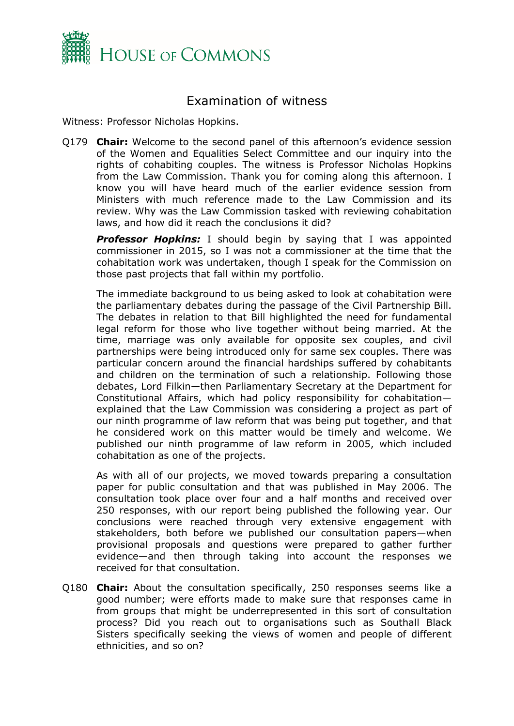

## <span id="page-1-0"></span>Examination of witness

Witness: Professor Nicholas Hopkins.

Q179 **Chair:** Welcome to the second panel of this afternoon's evidence session of the Women and Equalities Select Committee and our inquiry into the rights of cohabiting couples. The witness is Professor Nicholas Hopkins from the Law Commission. Thank you for coming along this afternoon. I know you will have heard much of the earlier evidence session from Ministers with much reference made to the Law Commission and its review. Why was the Law Commission tasked with reviewing cohabitation laws, and how did it reach the conclusions it did?

**Professor Hopkins:** I should begin by saying that I was appointed commissioner in 2015, so I was not a commissioner at the time that the cohabitation work was undertaken, though I speak for the Commission on those past projects that fall within my portfolio.

The immediate background to us being asked to look at cohabitation were the parliamentary debates during the passage of the Civil Partnership Bill. The debates in relation to that Bill highlighted the need for fundamental legal reform for those who live together without being married. At the time, marriage was only available for opposite sex couples, and civil partnerships were being introduced only for same sex couples. There was particular concern around the financial hardships suffered by cohabitants and children on the termination of such a relationship. Following those debates, Lord Filkin—then Parliamentary Secretary at the Department for Constitutional Affairs, which had policy responsibility for cohabitation explained that the Law Commission was considering a project as part of our ninth programme of law reform that was being put together, and that he considered work on this matter would be timely and welcome. We published our ninth programme of law reform in 2005, which included cohabitation as one of the projects.

As with all of our projects, we moved towards preparing a consultation paper for public consultation and that was published in May 2006. The consultation took place over four and a half months and received over 250 responses, with our report being published the following year. Our conclusions were reached through very extensive engagement with stakeholders, both before we published our consultation papers—when provisional proposals and questions were prepared to gather further evidence—and then through taking into account the responses we received for that consultation.

Q180 **Chair:** About the consultation specifically, 250 responses seems like a good number; were efforts made to make sure that responses came in from groups that might be underrepresented in this sort of consultation process? Did you reach out to organisations such as Southall Black Sisters specifically seeking the views of women and people of different ethnicities, and so on?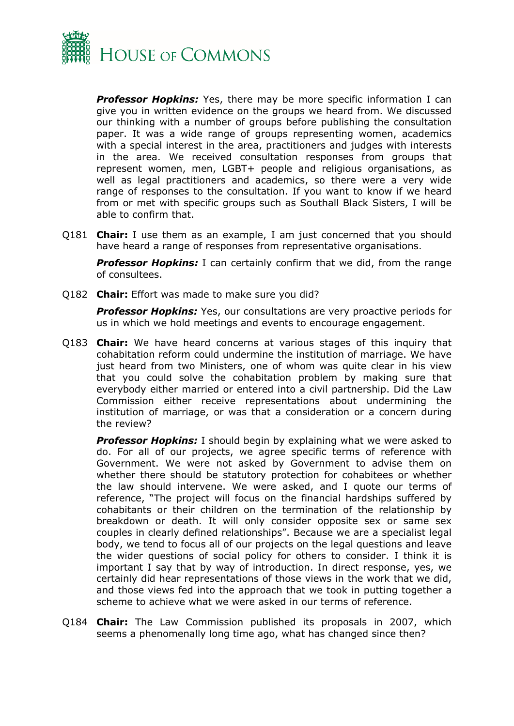

*Professor Hopkins:* Yes, there may be more specific information I can give you in written evidence on the groups we heard from. We discussed our thinking with a number of groups before publishing the consultation paper. It was a wide range of groups representing women, academics with a special interest in the area, practitioners and judges with interests in the area. We received consultation responses from groups that represent women, men, LGBT+ people and religious organisations, as well as legal practitioners and academics, so there were a very wide range of responses to the consultation. If you want to know if we heard from or met with specific groups such as Southall Black Sisters, I will be able to confirm that.

Q181 **Chair:** I use them as an example, I am just concerned that you should have heard a range of responses from representative organisations.

**Professor Hopkins:** I can certainly confirm that we did, from the range of consultees.

Q182 **Chair:** Effort was made to make sure you did?

**Professor Hopkins:** Yes, our consultations are very proactive periods for us in which we hold meetings and events to encourage engagement.

Q183 **Chair:** We have heard concerns at various stages of this inquiry that cohabitation reform could undermine the institution of marriage. We have just heard from two Ministers, one of whom was quite clear in his view that you could solve the cohabitation problem by making sure that everybody either married or entered into a civil partnership. Did the Law Commission either receive representations about undermining the institution of marriage, or was that a consideration or a concern during the review?

*Professor Hopkins:* I should begin by explaining what we were asked to do. For all of our projects, we agree specific terms of reference with Government. We were not asked by Government to advise them on whether there should be statutory protection for cohabitees or whether the law should intervene. We were asked, and I quote our terms of reference, "The project will focus on the financial hardships suffered by cohabitants or their children on the termination of the relationship by breakdown or death. It will only consider opposite sex or same sex couples in clearly defined relationships". Because we are a specialist legal body, we tend to focus all of our projects on the legal questions and leave the wider questions of social policy for others to consider. I think it is important I say that by way of introduction. In direct response, yes, we certainly did hear representations of those views in the work that we did, and those views fed into the approach that we took in putting together a scheme to achieve what we were asked in our terms of reference.

Q184 **Chair:** The Law Commission published its proposals in 2007, which seems a phenomenally long time ago, what has changed since then?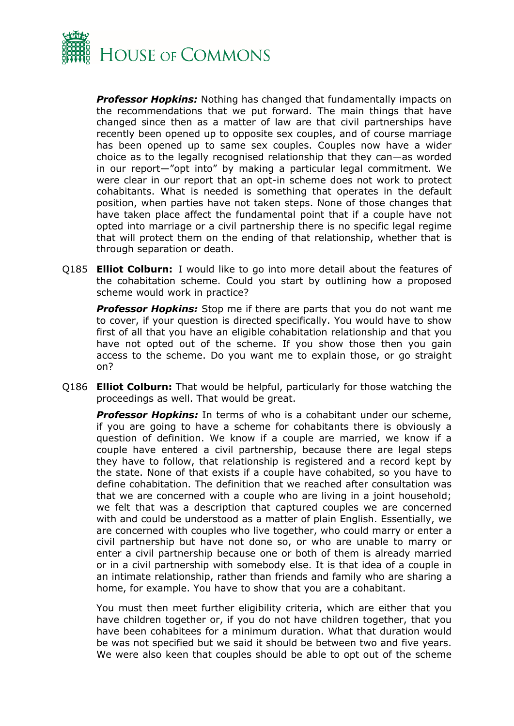

*Professor Hopkins:* Nothing has changed that fundamentally impacts on the recommendations that we put forward. The main things that have changed since then as a matter of law are that civil partnerships have recently been opened up to opposite sex couples, and of course marriage has been opened up to same sex couples. Couples now have a wider choice as to the legally recognised relationship that they can—as worded in our report—"opt into" by making a particular legal commitment. We were clear in our report that an opt-in scheme does not work to protect cohabitants. What is needed is something that operates in the default position, when parties have not taken steps. None of those changes that have taken place affect the fundamental point that if a couple have not opted into marriage or a civil partnership there is no specific legal regime that will protect them on the ending of that relationship, whether that is through separation or death.

Q185 **Elliot Colburn:** I would like to go into more detail about the features of the cohabitation scheme. Could you start by outlining how a proposed scheme would work in practice?

*Professor Hopkins:* Stop me if there are parts that you do not want me to cover, if your question is directed specifically. You would have to show first of all that you have an eligible cohabitation relationship and that you have not opted out of the scheme. If you show those then you gain access to the scheme. Do you want me to explain those, or go straight on?

Q186 **Elliot Colburn:** That would be helpful, particularly for those watching the proceedings as well. That would be great.

*Professor Hopkins:* In terms of who is a cohabitant under our scheme, if you are going to have a scheme for cohabitants there is obviously a question of definition. We know if a couple are married, we know if a couple have entered a civil partnership, because there are legal steps they have to follow, that relationship is registered and a record kept by the state. None of that exists if a couple have cohabited, so you have to define cohabitation. The definition that we reached after consultation was that we are concerned with a couple who are living in a joint household; we felt that was a description that captured couples we are concerned with and could be understood as a matter of plain English. Essentially, we are concerned with couples who live together, who could marry or enter a civil partnership but have not done so, or who are unable to marry or enter a civil partnership because one or both of them is already married or in a civil partnership with somebody else. It is that idea of a couple in an intimate relationship, rather than friends and family who are sharing a home, for example. You have to show that you are a cohabitant.

You must then meet further eligibility criteria, which are either that you have children together or, if you do not have children together, that you have been cohabitees for a minimum duration. What that duration would be was not specified but we said it should be between two and five years. We were also keen that couples should be able to opt out of the scheme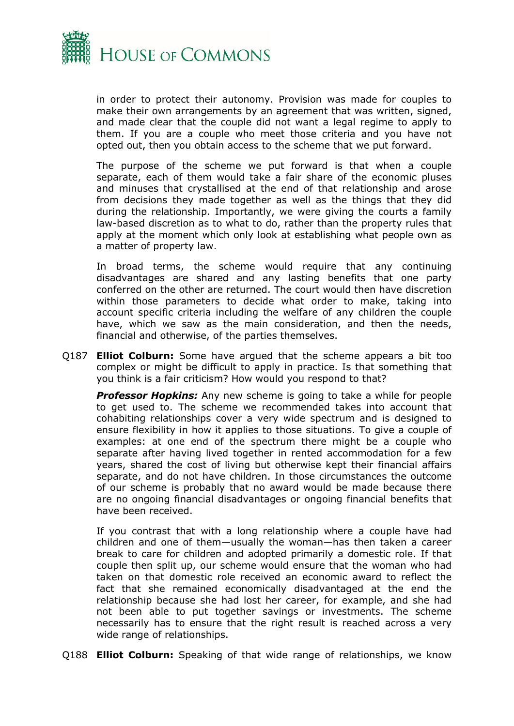

in order to protect their autonomy. Provision was made for couples to make their own arrangements by an agreement that was written, signed, and made clear that the couple did not want a legal regime to apply to them. If you are a couple who meet those criteria and you have not opted out, then you obtain access to the scheme that we put forward.

The purpose of the scheme we put forward is that when a couple separate, each of them would take a fair share of the economic pluses and minuses that crystallised at the end of that relationship and arose from decisions they made together as well as the things that they did during the relationship. Importantly, we were giving the courts a family law-based discretion as to what to do, rather than the property rules that apply at the moment which only look at establishing what people own as a matter of property law.

In broad terms, the scheme would require that any continuing disadvantages are shared and any lasting benefits that one party conferred on the other are returned. The court would then have discretion within those parameters to decide what order to make, taking into account specific criteria including the welfare of any children the couple have, which we saw as the main consideration, and then the needs, financial and otherwise, of the parties themselves.

Q187 **Elliot Colburn:** Some have argued that the scheme appears a bit too complex or might be difficult to apply in practice. Is that something that you think is a fair criticism? How would you respond to that?

**Professor Hopkins:** Any new scheme is going to take a while for people to get used to. The scheme we recommended takes into account that cohabiting relationships cover a very wide spectrum and is designed to ensure flexibility in how it applies to those situations. To give a couple of examples: at one end of the spectrum there might be a couple who separate after having lived together in rented accommodation for a few years, shared the cost of living but otherwise kept their financial affairs separate, and do not have children. In those circumstances the outcome of our scheme is probably that no award would be made because there are no ongoing financial disadvantages or ongoing financial benefits that have been received.

If you contrast that with a long relationship where a couple have had children and one of them—usually the woman—has then taken a career break to care for children and adopted primarily a domestic role. If that couple then split up, our scheme would ensure that the woman who had taken on that domestic role received an economic award to reflect the fact that she remained economically disadvantaged at the end the relationship because she had lost her career, for example, and she had not been able to put together savings or investments. The scheme necessarily has to ensure that the right result is reached across a very wide range of relationships.

Q188 **Elliot Colburn:** Speaking of that wide range of relationships, we know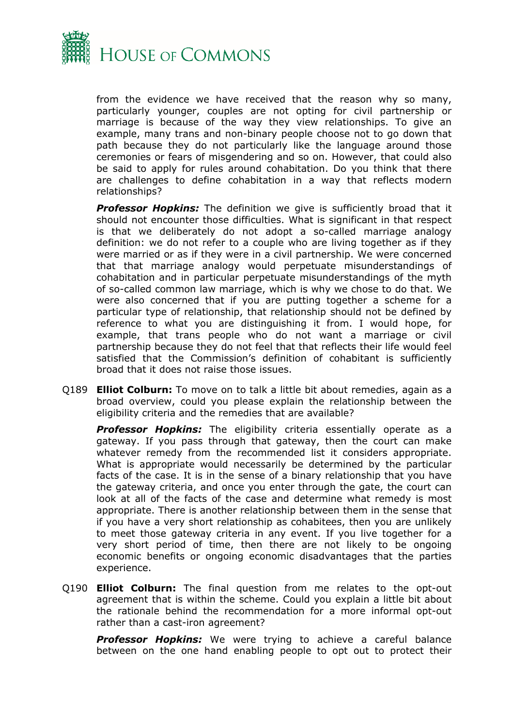

from the evidence we have received that the reason why so many, particularly younger, couples are not opting for civil partnership or marriage is because of the way they view relationships. To give an example, many trans and non-binary people choose not to go down that path because they do not particularly like the language around those ceremonies or fears of misgendering and so on. However, that could also be said to apply for rules around cohabitation. Do you think that there are challenges to define cohabitation in a way that reflects modern relationships?

*Professor Hopkins:* The definition we give is sufficiently broad that it should not encounter those difficulties. What is significant in that respect is that we deliberately do not adopt a so-called marriage analogy definition: we do not refer to a couple who are living together as if they were married or as if they were in a civil partnership. We were concerned that that marriage analogy would perpetuate misunderstandings of cohabitation and in particular perpetuate misunderstandings of the myth of so-called common law marriage, which is why we chose to do that. We were also concerned that if you are putting together a scheme for a particular type of relationship, that relationship should not be defined by reference to what you are distinguishing it from. I would hope, for example, that trans people who do not want a marriage or civil partnership because they do not feel that that reflects their life would feel satisfied that the Commission's definition of cohabitant is sufficiently broad that it does not raise those issues.

Q189 **Elliot Colburn:** To move on to talk a little bit about remedies, again as a broad overview, could you please explain the relationship between the eligibility criteria and the remedies that are available?

**Professor Hopkins:** The eligibility criteria essentially operate as a gateway. If you pass through that gateway, then the court can make whatever remedy from the recommended list it considers appropriate. What is appropriate would necessarily be determined by the particular facts of the case. It is in the sense of a binary relationship that you have the gateway criteria, and once you enter through the gate, the court can look at all of the facts of the case and determine what remedy is most appropriate. There is another relationship between them in the sense that if you have a very short relationship as cohabitees, then you are unlikely to meet those gateway criteria in any event. If you live together for a very short period of time, then there are not likely to be ongoing economic benefits or ongoing economic disadvantages that the parties experience.

Q190 **Elliot Colburn:** The final question from me relates to the opt-out agreement that is within the scheme. Could you explain a little bit about the rationale behind the recommendation for a more informal opt-out rather than a cast-iron agreement?

*Professor Hopkins:* We were trying to achieve a careful balance between on the one hand enabling people to opt out to protect their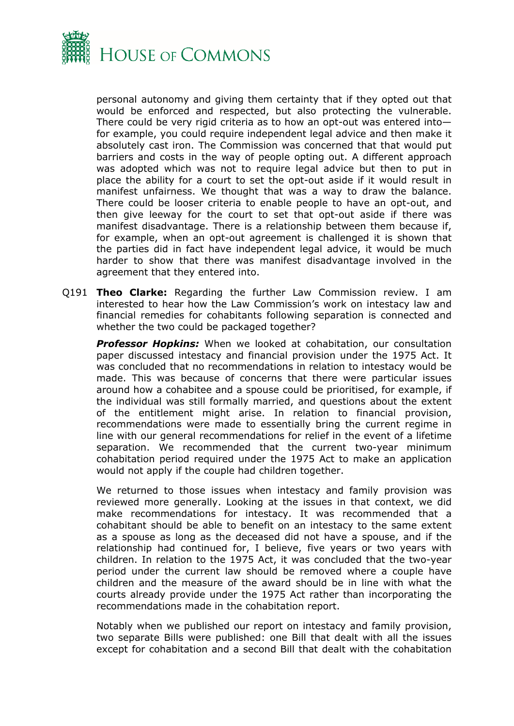

personal autonomy and giving them certainty that if they opted out that would be enforced and respected, but also protecting the vulnerable. There could be very rigid criteria as to how an opt-out was entered into for example, you could require independent legal advice and then make it absolutely cast iron. The Commission was concerned that that would put barriers and costs in the way of people opting out. A different approach was adopted which was not to require legal advice but then to put in place the ability for a court to set the opt-out aside if it would result in manifest unfairness. We thought that was a way to draw the balance. There could be looser criteria to enable people to have an opt-out, and then give leeway for the court to set that opt-out aside if there was manifest disadvantage. There is a relationship between them because if, for example, when an opt-out agreement is challenged it is shown that the parties did in fact have independent legal advice, it would be much harder to show that there was manifest disadvantage involved in the agreement that they entered into.

Q191 **Theo Clarke:** Regarding the further Law Commission review. I am interested to hear how the Law Commission's work on intestacy law and financial remedies for cohabitants following separation is connected and whether the two could be packaged together?

*Professor Hopkins:* When we looked at cohabitation, our consultation paper discussed intestacy and financial provision under the 1975 Act. It was concluded that no recommendations in relation to intestacy would be made. This was because of concerns that there were particular issues around how a cohabitee and a spouse could be prioritised, for example, if the individual was still formally married, and questions about the extent of the entitlement might arise. In relation to financial provision, recommendations were made to essentially bring the current regime in line with our general recommendations for relief in the event of a lifetime separation. We recommended that the current two-year minimum cohabitation period required under the 1975 Act to make an application would not apply if the couple had children together.

We returned to those issues when intestacy and family provision was reviewed more generally. Looking at the issues in that context, we did make recommendations for intestacy. It was recommended that a cohabitant should be able to benefit on an intestacy to the same extent as a spouse as long as the deceased did not have a spouse, and if the relationship had continued for, I believe, five years or two years with children. In relation to the 1975 Act, it was concluded that the two-year period under the current law should be removed where a couple have children and the measure of the award should be in line with what the courts already provide under the 1975 Act rather than incorporating the recommendations made in the cohabitation report.

Notably when we published our report on intestacy and family provision, two separate Bills were published: one Bill that dealt with all the issues except for cohabitation and a second Bill that dealt with the cohabitation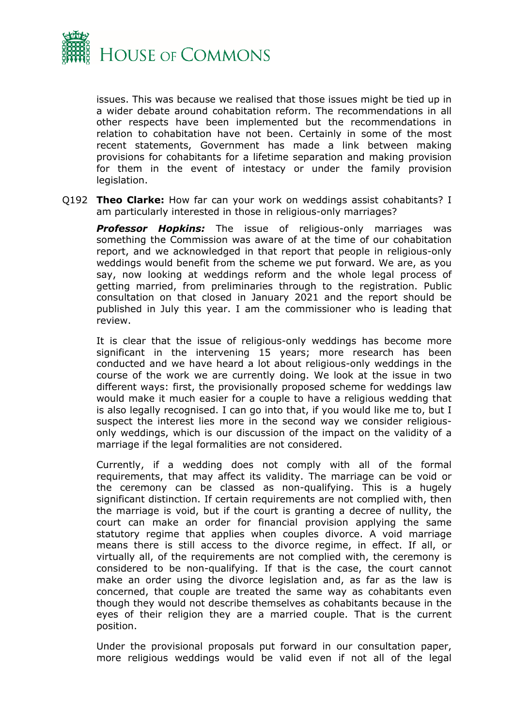

issues. This was because we realised that those issues might be tied up in a wider debate around cohabitation reform. The recommendations in all other respects have been implemented but the recommendations in relation to cohabitation have not been. Certainly in some of the most recent statements, Government has made a link between making provisions for cohabitants for a lifetime separation and making provision for them in the event of intestacy or under the family provision legislation.

Q192 **Theo Clarke:** How far can your work on weddings assist cohabitants? I am particularly interested in those in religious-only marriages?

*Professor Hopkins:* The issue of religious-only marriages was something the Commission was aware of at the time of our cohabitation report, and we acknowledged in that report that people in religious-only weddings would benefit from the scheme we put forward. We are, as you say, now looking at weddings reform and the whole legal process of getting married, from preliminaries through to the registration. Public consultation on that closed in January 2021 and the report should be published in July this year. I am the commissioner who is leading that review.

It is clear that the issue of religious-only weddings has become more significant in the intervening 15 years; more research has been conducted and we have heard a lot about religious-only weddings in the course of the work we are currently doing. We look at the issue in two different ways: first, the provisionally proposed scheme for weddings law would make it much easier for a couple to have a religious wedding that is also legally recognised. I can go into that, if you would like me to, but I suspect the interest lies more in the second way we consider religiousonly weddings, which is our discussion of the impact on the validity of a marriage if the legal formalities are not considered.

Currently, if a wedding does not comply with all of the formal requirements, that may affect its validity. The marriage can be void or the ceremony can be classed as non-qualifying. This is a hugely significant distinction. If certain requirements are not complied with, then the marriage is void, but if the court is granting a decree of nullity, the court can make an order for financial provision applying the same statutory regime that applies when couples divorce. A void marriage means there is still access to the divorce regime, in effect. If all, or virtually all, of the requirements are not complied with, the ceremony is considered to be non-qualifying. If that is the case, the court cannot make an order using the divorce legislation and, as far as the law is concerned, that couple are treated the same way as cohabitants even though they would not describe themselves as cohabitants because in the eyes of their religion they are a married couple. That is the current position.

Under the provisional proposals put forward in our consultation paper, more religious weddings would be valid even if not all of the legal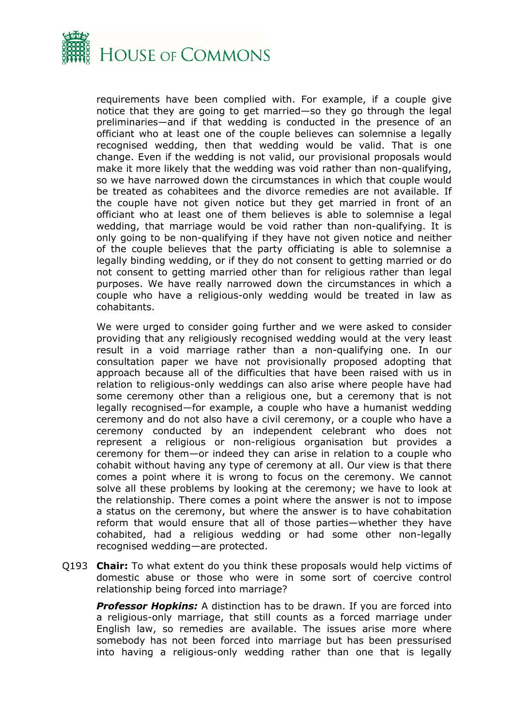

requirements have been complied with. For example, if a couple give notice that they are going to get married—so they go through the legal preliminaries—and if that wedding is conducted in the presence of an officiant who at least one of the couple believes can solemnise a legally recognised wedding, then that wedding would be valid. That is one change. Even if the wedding is not valid, our provisional proposals would make it more likely that the wedding was void rather than non-qualifying, so we have narrowed down the circumstances in which that couple would be treated as cohabitees and the divorce remedies are not available. If the couple have not given notice but they get married in front of an officiant who at least one of them believes is able to solemnise a legal wedding, that marriage would be void rather than non-qualifying. It is only going to be non-qualifying if they have not given notice and neither of the couple believes that the party officiating is able to solemnise a legally binding wedding, or if they do not consent to getting married or do not consent to getting married other than for religious rather than legal purposes. We have really narrowed down the circumstances in which a couple who have a religious-only wedding would be treated in law as cohabitants.

We were urged to consider going further and we were asked to consider providing that any religiously recognised wedding would at the very least result in a void marriage rather than a non-qualifying one. In our consultation paper we have not provisionally proposed adopting that approach because all of the difficulties that have been raised with us in relation to religious-only weddings can also arise where people have had some ceremony other than a religious one, but a ceremony that is not legally recognised—for example, a couple who have a humanist wedding ceremony and do not also have a civil ceremony, or a couple who have a ceremony conducted by an independent celebrant who does not represent a religious or non-religious organisation but provides a ceremony for them—or indeed they can arise in relation to a couple who cohabit without having any type of ceremony at all. Our view is that there comes a point where it is wrong to focus on the ceremony. We cannot solve all these problems by looking at the ceremony; we have to look at the relationship. There comes a point where the answer is not to impose a status on the ceremony, but where the answer is to have cohabitation reform that would ensure that all of those parties—whether they have cohabited, had a religious wedding or had some other non-legally recognised wedding—are protected.

Q193 **Chair:** To what extent do you think these proposals would help victims of domestic abuse or those who were in some sort of coercive control relationship being forced into marriage?

**Professor Hopkins:** A distinction has to be drawn. If you are forced into a religious-only marriage, that still counts as a forced marriage under English law, so remedies are available. The issues arise more where somebody has not been forced into marriage but has been pressurised into having a religious-only wedding rather than one that is legally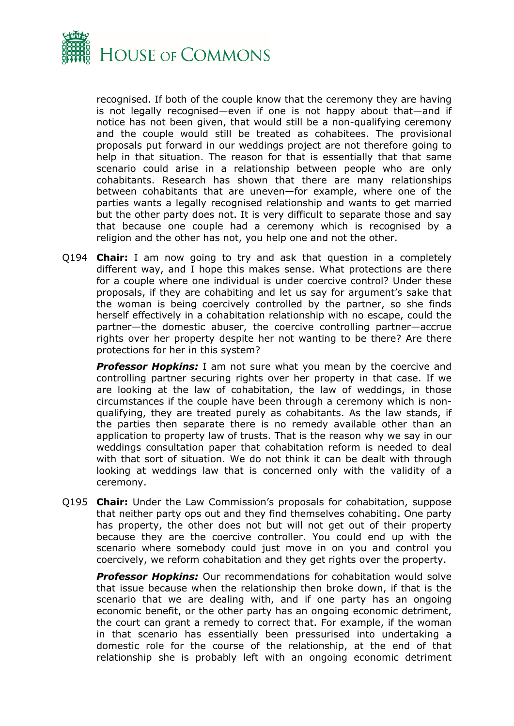

recognised. If both of the couple know that the ceremony they are having is not legally recognised—even if one is not happy about that—and if notice has not been given, that would still be a non-qualifying ceremony and the couple would still be treated as cohabitees. The provisional proposals put forward in our weddings project are not therefore going to help in that situation. The reason for that is essentially that that same scenario could arise in a relationship between people who are only cohabitants. Research has shown that there are many relationships between cohabitants that are uneven—for example, where one of the parties wants a legally recognised relationship and wants to get married but the other party does not. It is very difficult to separate those and say that because one couple had a ceremony which is recognised by a religion and the other has not, you help one and not the other.

Q194 **Chair:** I am now going to try and ask that question in a completely different way, and I hope this makes sense. What protections are there for a couple where one individual is under coercive control? Under these proposals, if they are cohabiting and let us say for argument's sake that the woman is being coercively controlled by the partner, so she finds herself effectively in a cohabitation relationship with no escape, could the partner—the domestic abuser, the coercive controlling partner—accrue rights over her property despite her not wanting to be there? Are there protections for her in this system?

**Professor Hopkins:** I am not sure what you mean by the coercive and controlling partner securing rights over her property in that case. If we are looking at the law of cohabitation, the law of weddings, in those circumstances if the couple have been through a ceremony which is nonqualifying, they are treated purely as cohabitants. As the law stands, if the parties then separate there is no remedy available other than an application to property law of trusts. That is the reason why we say in our weddings consultation paper that cohabitation reform is needed to deal with that sort of situation. We do not think it can be dealt with through looking at weddings law that is concerned only with the validity of a ceremony.

Q195 **Chair:** Under the Law Commission's proposals for cohabitation, suppose that neither party ops out and they find themselves cohabiting. One party has property, the other does not but will not get out of their property because they are the coercive controller. You could end up with the scenario where somebody could just move in on you and control you coercively, we reform cohabitation and they get rights over the property.

**Professor Hopkins:** Our recommendations for cohabitation would solve that issue because when the relationship then broke down, if that is the scenario that we are dealing with, and if one party has an ongoing economic benefit, or the other party has an ongoing economic detriment, the court can grant a remedy to correct that. For example, if the woman in that scenario has essentially been pressurised into undertaking a domestic role for the course of the relationship, at the end of that relationship she is probably left with an ongoing economic detriment